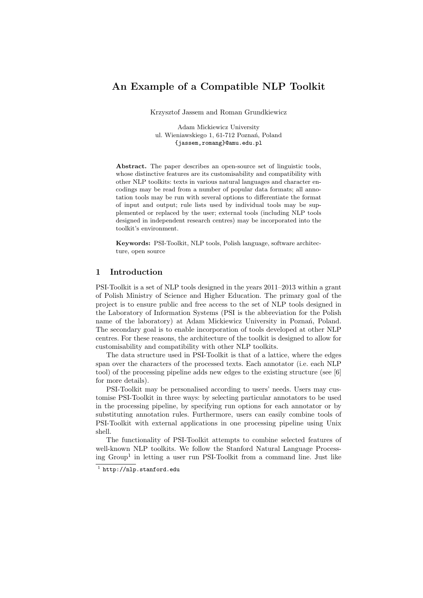Krzysztof Jassem and Roman Grundkiewicz

Adam Mickiewicz University ul. Wieniawskiego 1, 61-712 Poznań, Poland {jassem,romang}@amu.edu.pl

Abstract. The paper describes an open-source set of linguistic tools, whose distinctive features are its customisability and compatibility with other NLP toolkits: texts in various natural languages and character encodings may be read from a number of popular data formats; all annotation tools may be run with several options to differentiate the format of input and output; rule lists used by individual tools may be supplemented or replaced by the user; external tools (including NLP tools designed in independent research centres) may be incorporated into the toolkit's environment.

Keywords: PSI-Toolkit, NLP tools, Polish language, software architecture, open source

# 1 Introduction

PSI-Toolkit is a set of NLP tools designed in the years 2011–2013 within a grant of Polish Ministry of Science and Higher Education. The primary goal of the project is to ensure public and free access to the set of NLP tools designed in the Laboratory of Information Systems (PSI is the abbreviation for the Polish name of the laboratory) at Adam Mickiewicz University in Poznań, Poland. The secondary goal is to enable incorporation of tools developed at other NLP centres. For these reasons, the architecture of the toolkit is designed to allow for customisability and compatibility with other NLP toolkits.

The data structure used in PSI-Toolkit is that of a lattice, where the edges span over the characters of the processed texts. Each annotator (i.e. each NLP tool) of the processing pipeline adds new edges to the existing structure (see [6] for more details).

PSI-Toolkit may be personalised according to users' needs. Users may customise PSI-Toolkit in three ways: by selecting particular annotators to be used in the processing pipeline, by specifying run options for each annotator or by substituting annotation rules. Furthermore, users can easily combine tools of PSI-Toolkit with external applications in one processing pipeline using Unix shell.

The functionality of PSI-Toolkit attempts to combine selected features of well-known NLP toolkits. We follow the Stanford Natural Language Processing Group<sup>1</sup> in letting a user run PSI-Toolkit from a command line. Just like

 $^1$  http://nlp.stanford.edu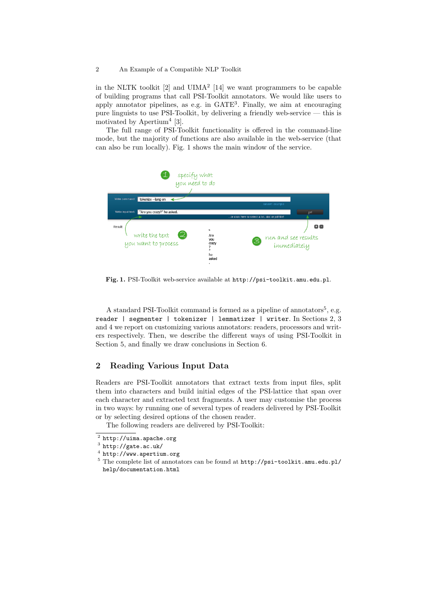in the NLTK toolkit [2] and UIMA<sup>2</sup> [14] we want programmers to be capable of building programs that call PSI-Toolkit annotators. We would like users to apply annotator pipelines, as e.g. in  $GATE<sup>3</sup>$ . Finally, we aim at encouraging pure linguists to use PSI-Toolkit, by delivering a friendly web-service — this is motivated by Apertium<sup>4</sup> [3].

The full range of PSI-Toolkit functionality is offered in the command-line mode, but the majority of functions are also available in the web-service (that can also be run locally). Fig. 1 shows the main window of the service.



Fig. 1. PSI-Toolkit web-service available at http://psi-toolkit.amu.edu.pl.

A standard PSI-Toolkit command is formed as a pipeline of annotators<sup>5</sup>, e.g. reader | segmenter | tokenizer | lemmatizer | writer. In Sections 2, 3 and 4 we report on customizing various annotators: readers, processors and writers respectively. Then, we describe the different ways of using PSI-Toolkit in Section 5, and finally we draw conclusions in Section 6.

# 2 Reading Various Input Data

Readers are PSI-Toolkit annotators that extract texts from input files, split them into characters and build initial edges of the PSI-lattice that span over each character and extracted text fragments. A user may customise the process in two ways: by running one of several types of readers delivered by PSI-Toolkit or by selecting desired options of the chosen reader.

The following readers are delivered by PSI-Toolkit:

 $^2$  http://uima.apache.org

 $^3$  http://gate.ac.uk/

 $^4$  http://www.apertium.org

<sup>5</sup> The complete list of annotators can be found at http://psi-toolkit.amu.edu.pl/ help/documentation.html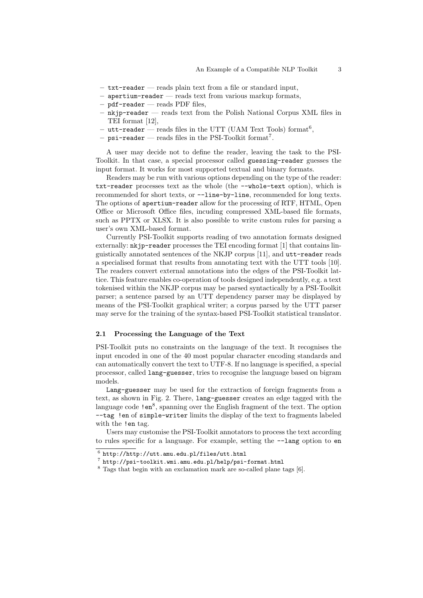- txt-reader reads plain text from a file or standard input,
- apertium-reader reads text from various markup formats,
- pdf-reader reads PDF files,
- nkjp-reader reads text from the Polish National Corpus XML files in TEI format [12],
- utt-reader reads files in the UTT (UAM Text Tools) format<sup>6</sup>,
- $-$  psi-reader reads files in the PSI-Toolkit format<sup>7</sup>.

A user may decide not to define the reader, leaving the task to the PSI-Toolkit. In that case, a special processor called guessing-reader guesses the input format. It works for most supported textual and binary formats.

Readers may be run with various options depending on the type of the reader: txt-reader processes text as the whole (the --whole-text option), which is recommended for short texts, or --line-by-line, recommended for long texts. The options of apertium-reader allow for the processing of RTF, HTML, Open Office or Microsoft Office files, incuding compressed XML-based file formats, such as PPTX or XLSX. It is also possible to write custom rules for parsing a user's own XML-based format.

Currently PSI-Toolkit supports reading of two annotation formats designed externally:  $nkip$ -reader processes the TEI encoding format [1] that contains linguistically annotated sentences of the NKJP corpus [11], and utt-reader reads a specialised format that results from annotating text with the UTT tools [10]. The readers convert external annotations into the edges of the PSI-Toolkit lattice. This feature enables co-operation of tools designed independently, e.g. a text tokenised within the NKJP corpus may be parsed syntactically by a PSI-Toolkit parser; a sentence parsed by an UTT dependency parser may be displayed by means of the PSI-Toolkit graphical writer; a corpus parsed by the UTT parser may serve for the training of the syntax-based PSI-Toolkit statistical translator.

#### 2.1 Processing the Language of the Text

PSI-Toolkit puts no constraints on the language of the text. It recognises the input encoded in one of the 40 most popular character encoding standards and can automatically convert the text to UTF-8. If no language is specified, a special processor, called lang-guesser, tries to recognise the language based on bigram models.

Lang-guesser may be used for the extraction of foreign fragments from a text, as shown in Fig. 2. There, lang-guesser creates an edge tagged with the language code  $!en^8$ , spanning over the English fragment of the text. The option --tag ! en of simple-writer limits the display of the text to fragments labeled with the !en tag.

Users may customise the PSI-Toolkit annotators to process the text according to rules specific for a language. For example, setting the --lang option to en

 $^6$  http://http://utt.amu.edu.pl/files/utt.html

<sup>7</sup> http://psi-toolkit.wmi.amu.edu.pl/help/psi-format.html

<sup>&</sup>lt;sup>8</sup> Tags that begin with an exclamation mark are so-called plane tags [6].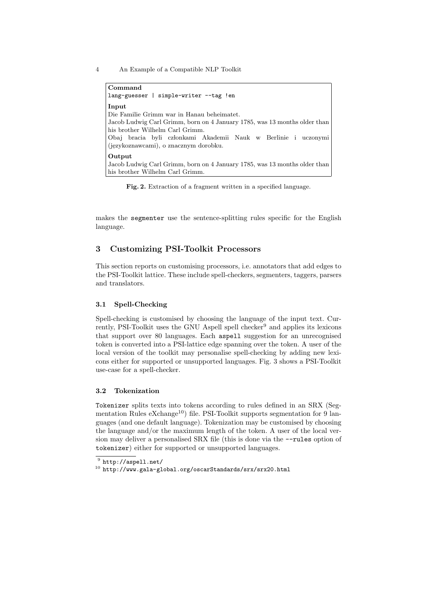| $\mid$ Command                                                            |
|---------------------------------------------------------------------------|
| lang-guesser   simple-writer --tag !en                                    |
| Input                                                                     |
| Die Familie Grimm war in Hanau beheimatet.                                |
| Jacob Ludwig Carl Grimm, born on 4 January 1785, was 13 months older than |
| his brother Wilhelm Carl Grimm.                                           |
| Obaj bracia byli członkami Akademii Nauk w Berlinie i uczonymi            |
| (językoznawcami), o znacznym dorobku.                                     |
| $\sqrt{2}$ Output                                                         |
| Jacob Ludwig Carl Grimm, born on 4 January 1785, was 13 months older than |
| his brother Wilhelm Carl Grimm.                                           |

Fig. 2. Extraction of a fragment written in a specified language.

makes the segmenter use the sentence-splitting rules specific for the English language.

# 3 Customizing PSI-Toolkit Processors

This section reports on customising processors, i.e. annotators that add edges to the PSI-Toolkit lattice. These include spell-checkers, segmenters, taggers, parsers and translators.

# 3.1 Spell-Checking

Spell-checking is customised by choosing the language of the input text. Currently, PSI-Toolkit uses the GNU Aspell spell checker<sup>9</sup> and applies its lexicons that support over 80 languages. Each aspell suggestion for an unrecognised token is converted into a PSI-lattice edge spanning over the token. A user of the local version of the toolkit may personalise spell-checking by adding new lexicons either for supported or unsupported languages. Fig. 3 shows a PSI-Toolkit use-case for a spell-checker.

#### 3.2 Tokenization

Tokenizer splits texts into tokens according to rules defined in an SRX (Segmentation Rules eXchange<sup>10</sup>) file. PSI-Toolkit supports segmentation for 9 languages (and one default language). Tokenization may be customised by choosing the language and/or the maximum length of the token. A user of the local version may deliver a personalised SRX file (this is done via the  $-$ rules option of tokenizer) either for supported or unsupported languages.

 $^9$  http://aspell.net/

<sup>10</sup> http://www.gala-global.org/oscarStandards/srx/srx20.html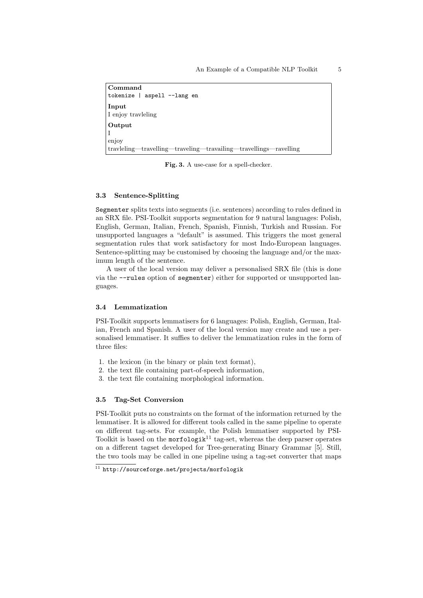| Command<br> tokenize   aspell --lang en                                    |
|----------------------------------------------------------------------------|
| Input<br>I enjoy traveling                                                 |
| $\sqrt{$ Output                                                            |
| enjoy<br> travleling-travelling-traveling-travailing-travellings-ravelling |

Fig. 3. A use-case for a spell-checker.

### 3.3 Sentence-Splitting

Segmenter splits texts into segments (i.e. sentences) according to rules defined in an SRX file. PSI-Toolkit supports segmentation for 9 natural languages: Polish, English, German, Italian, French, Spanish, Finnish, Turkish and Russian. For unsupported languages a "default" is assumed. This triggers the most general segmentation rules that work satisfactory for most Indo-European languages. Sentence-splitting may be customised by choosing the language and/or the maximum length of the sentence.

A user of the local version may deliver a personalised SRX file (this is done via the --rules option of segmenter) either for supported or unsupported languages.

# 3.4 Lemmatization

PSI-Toolkit supports lemmatisers for 6 languages: Polish, English, German, Italian, French and Spanish. A user of the local version may create and use a personalised lemmatiser. It suffies to deliver the lemmatization rules in the form of three files:

- 1. the lexicon (in the binary or plain text format),
- 2. the text file containing part-of-speech information,
- 3. the text file containing morphological information.

## 3.5 Tag-Set Conversion

PSI-Toolkit puts no constraints on the format of the information returned by the lemmatiser. It is allowed for different tools called in the same pipeline to operate on different tag-sets. For example, the Polish lemmatiser supported by PSI-Toolkit is based on the morfologik<sup>11</sup> tag-set, whereas the deep parser operates on a different tagset developed for Tree-generating Binary Grammar [5]. Still, the two tools may be called in one pipeline using a tag-set converter that maps

 $^{\rm 11}$ http://sourceforge.net/projects/morfologik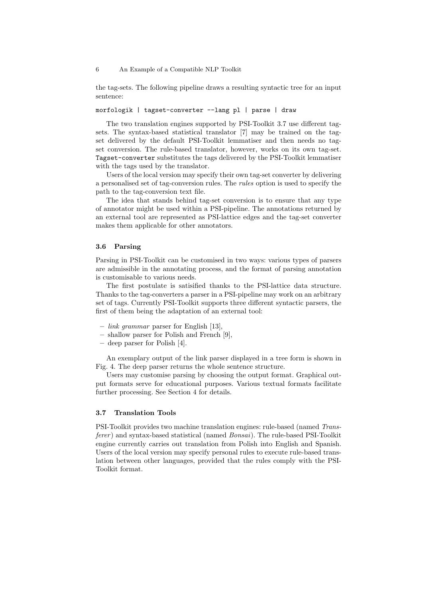the tag-sets. The following pipeline draws a resulting syntactic tree for an input sentence:

morfologik | tagset-converter --lang pl | parse | draw

The two translation engines supported by PSI-Toolkit 3.7 use different tagsets. The syntax-based statistical translator [7] may be trained on the tagset delivered by the default PSI-Toolkit lemmatiser and then needs no tagset conversion. The rule-based translator, however, works on its own tag-set. Tagset-converter substitutes the tags delivered by the PSI-Toolkit lemmatiser with the tags used by the translator.

Users of the local version may specify their own tag-set converter by delivering a personalised set of tag-conversion rules. The rules option is used to specify the path to the tag-conversion text file.

The idea that stands behind tag-set conversion is to ensure that any type of annotator might be used within a PSI-pipeline. The annotations returned by an external tool are represented as PSI-lattice edges and the tag-set converter makes them applicable for other annotators.

### 3.6 Parsing

Parsing in PSI-Toolkit can be customised in two ways: various types of parsers are admissible in the annotating process, and the format of parsing annotation is customisable to various needs.

The first postulate is satisified thanks to the PSI-lattice data structure. Thanks to the tag-converters a parser in a PSI-pipeline may work on an arbitrary set of tags. Currently PSI-Toolkit supports three different syntactic parsers, the first of them being the adaptation of an external tool:

- $-$  *link grammar* parser for English [13],
- shallow parser for Polish and French [9],
- deep parser for Polish [4].

An exemplary output of the link parser displayed in a tree form is shown in Fig. 4. The deep parser returns the whole sentence structure.

Users may customise parsing by choosing the output format. Graphical output formats serve for educational purposes. Various textual formats facilitate further processing. See Section 4 for details.

## 3.7 Translation Tools

PSI-Toolkit provides two machine translation engines: rule-based (named Transferer) and syntax-based statistical (named *Bonsai*). The rule-based PSI-Toolkit engine currently carries out translation from Polish into English and Spanish. Users of the local version may specify personal rules to execute rule-based translation between other languages, provided that the rules comply with the PSI-Toolkit format.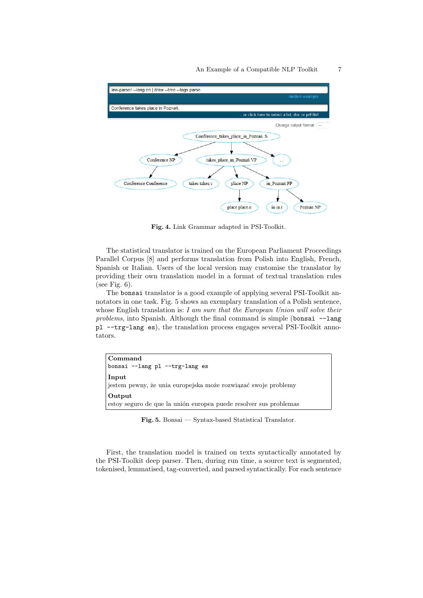

Fig. 4. Link Grammar adapted in PSI-Toolkit.

The statistical translator is trained on the European Parliament Proceedings Parallel Corpus [8] and performs translation from Polish into English, French, Spanish or Italian. Users of the local version may customise the translator by providing their own translation model in a format of textual translation rules (see Fig.  $6$ ).

The bonsai translator is a good example of applying several PSI-Toolkit annotators in one task. Fig. 5 shows an exemplary translation of a Polish sentence, whose English translation is: I am sure that the European Union will solve their problems, into Spanish. Although the final command is simple (bonsai --lang pl --trg-lang es), the translation process engages several PSI-Toolkit annotators.

| Command                                                                     |
|-----------------------------------------------------------------------------|
| bonsai --lang pl --trg-lang es                                              |
| Input<br>estem pewny, że unia europejska może rozwiązać swoje problemy      |
| Output<br>estoy seguro de que la unión europea puede resolver sus problemas |

Fig. 5. Bonsai — Syntax-based Statistical Translator.

First, the translation model is trained on texts syntactically annotated by the PSI-Toolkit deep parser. Then, during run time, a source text is segmented, tokenised, lemmatised, tag-converted, and parsed syntactically. For each sentence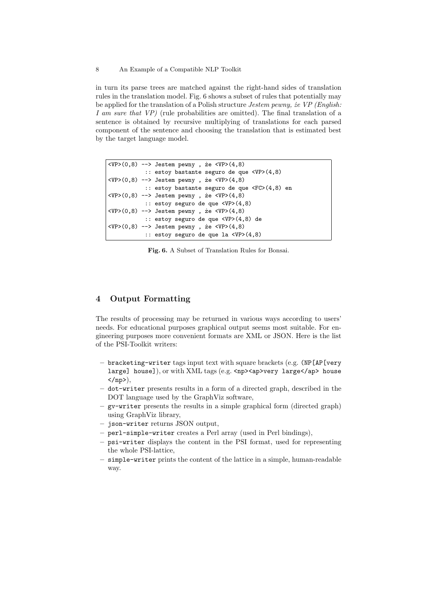in turn its parse trees are matched against the right-hand sides of translation rules in the translation model. Fig. 6 shows a subset of rules that potentially may be applied for the translation of a Polish structure *Jestem pewny,*  $\dot{z}e VP$  *(English:* I am sure that VP) (rule probabilities are omitted). The final translation of a sentence is obtained by recursive multiplying of translations for each parsed component of the sentence and choosing the translation that is estimated best by the target language model.

```
<VP>(0,8) --> Jestem pewny , że <VP>(4,8)
           :: estoy bastante seguro de que <VP>(4,8)
<VP>(0,8) --> Jestem pewny, że <VP>(4,8):: estoy bastante seguro de que <FC>(4,8) en
<VP>(0,8) --> Jestem pewny, że <VP>(4,8)
           :: estoy seguro de que <VP>(4,8)
<VP>(0,8) --> Jestem pewny, że <VP>(4,8):: estoy seguro de que <VP>(4,8) de
\langle VP \rangle (0,8) --> Jestem pewny, że \langle VP \rangle (4,8)
           :: estoy seguro de que la <VP>(4,8)
```
Fig. 6. A Subset of Translation Rules for Bonsai.

# 4 Output Formatting

The results of processing may be returned in various ways according to users' needs. For educational purposes graphical output seems most suitable. For engineering purposes more convenient formats are XML or JSON. Here is the list of the PSI-Toolkit writers:

- $-$  bracketing-writer tags input text with square brackets (e.g. (NP[AP[very]) large] house]), or with XML tags (e.g. <np><ap>very large</ap> house  $\langle$ /np>).
- dot-writer presents results in a form of a directed graph, described in the DOT language used by the GraphViz software,
- gv-writer presents the results in a simple graphical form (directed graph) using GraphViz library,
- json-writer returns JSON output,
- perl-simple-writer creates a Perl array (used in Perl bindings),
- psi-writer displays the content in the PSI format, used for representing the whole PSI-lattice,
- simple-writer prints the content of the lattice in a simple, human-readable way.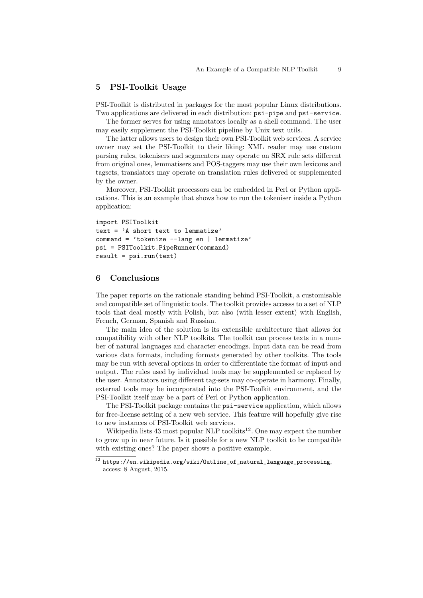# 5 PSI-Toolkit Usage

PSI-Toolkit is distributed in packages for the most popular Linux distributions. Two applications are delivered in each distribution: psi-pipe and psi-service.

The former serves for using annotators locally as a shell command. The user may easily supplement the PSI-Toolkit pipeline by Unix text utils.

The latter allows users to design their own PSI-Toolkit web services. A service owner may set the PSI-Toolkit to their liking: XML reader may use custom parsing rules, tokenisers and segmenters may operate on SRX rule sets different from original ones, lemmatisers and POS-taggers may use their own lexicons and tagsets, translators may operate on translation rules delivered or supplemented by the owner.

Moreover, PSI-Toolkit processors can be embedded in Perl or Python applications. This is an example that shows how to run the tokeniser inside a Python application:

```
import PSIToolkit
text = 'A short text to lemmatize'
command = 'tokenize --lang en | lemmatize'
psi = PSIToolkit.PipeRunner(command)
result = psi.run(text)
```
# 6 Conclusions

The paper reports on the rationale standing behind PSI-Toolkit, a customisable and compatible set of linguistic tools. The toolkit provides accesss to a set of NLP tools that deal mostly with Polish, but also (with lesser extent) with English, French, German, Spanish and Russian.

The main idea of the solution is its extensible architecture that allows for compatibility with other NLP toolkits. The toolkit can process texts in a number of natural languages and character encodings. Input data can be read from various data formats, including formats generated by other toolkits. The tools may be run with several options in order to differentiate the format of input and output. The rules used by individual tools may be supplemented or replaced by the user. Annotators using different tag-sets may co-operate in harmony. Finally, external tools may be incorporated into the PSI-Toolkit environment, and the PSI-Toolkit itself may be a part of Perl or Python application.

The PSI-Toolkit package contains the psi-service application, which allows for free-license setting of a new web service. This feature will hopefully give rise to new instances of PSI-Toolkit web services.

Wikipedia lists 43 most popular NLP toolkits<sup>12</sup>. One may expect the number to grow up in near future. Is it possible for a new NLP toolkit to be compatible with existing ones? The paper shows a positive example.

 $^{12}$ https://en.wikipedia.org/wiki/Outline\_of\_natural\_language\_processing,  $\,$ access: 8 August, 2015.